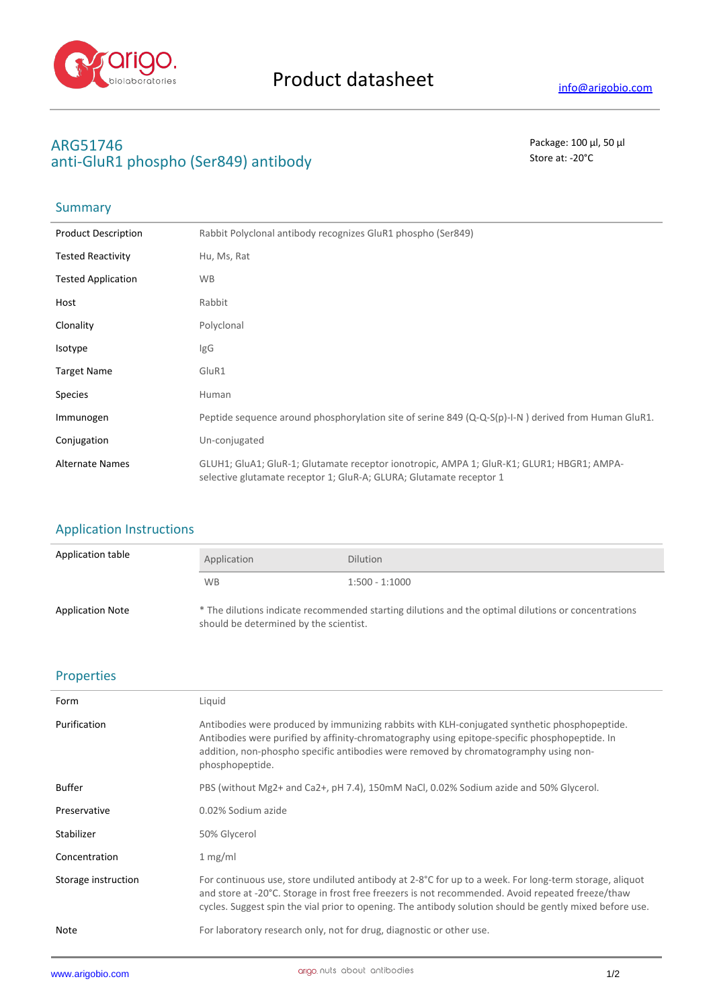

# **ARG51746** Package: 100 μl, 50 μl anti-GluR1 phospho (Ser849) antibody antibody store at: -20<sup>°</sup>C

### **Summary**

| <b>Product Description</b> | Rabbit Polyclonal antibody recognizes GluR1 phospho (Ser849)                                                                                                     |
|----------------------------|------------------------------------------------------------------------------------------------------------------------------------------------------------------|
| <b>Tested Reactivity</b>   | Hu, Ms, Rat                                                                                                                                                      |
| <b>Tested Application</b>  | <b>WB</b>                                                                                                                                                        |
| Host                       | Rabbit                                                                                                                                                           |
| Clonality                  | Polyclonal                                                                                                                                                       |
| Isotype                    | IgG                                                                                                                                                              |
| <b>Target Name</b>         | GluR1                                                                                                                                                            |
| <b>Species</b>             | Human                                                                                                                                                            |
| Immunogen                  | Peptide sequence around phosphorylation site of serine 849 ( $Q-Q-S(p)$ -I-N) derived from Human GluR1.                                                          |
| Conjugation                | Un-conjugated                                                                                                                                                    |
| <b>Alternate Names</b>     | GLUH1; GluA1; GluR-1; Glutamate receptor ionotropic, AMPA 1; GluR-K1; GLUR1; HBGR1; AMPA-<br>selective glutamate receptor 1; GluR-A; GLURA; Glutamate receptor 1 |

#### Application Instructions

| Application table       | Application                                                                                                                                   | <b>Dilution</b>  |
|-------------------------|-----------------------------------------------------------------------------------------------------------------------------------------------|------------------|
|                         | <b>WB</b>                                                                                                                                     | $1:500 - 1:1000$ |
| <b>Application Note</b> | * The dilutions indicate recommended starting dilutions and the optimal dilutions or concentrations<br>should be determined by the scientist. |                  |

#### Properties

| Form                | Liquid                                                                                                                                                                                                                                                                                                                             |
|---------------------|------------------------------------------------------------------------------------------------------------------------------------------------------------------------------------------------------------------------------------------------------------------------------------------------------------------------------------|
| Purification        | Antibodies were produced by immunizing rabbits with KLH-conjugated synthetic phosphopeptide.<br>Antibodies were purified by affinity-chromatography using epitope-specific phosphopeptide. In<br>addition, non-phospho specific antibodies were removed by chromatogramphy using non-<br>phosphopeptide.                           |
| <b>Buffer</b>       | PBS (without Mg2+ and Ca2+, pH 7.4), 150mM NaCl, 0.02% Sodium azide and 50% Glycerol.                                                                                                                                                                                                                                              |
| Preservative        | 0.02% Sodium azide                                                                                                                                                                                                                                                                                                                 |
| Stabilizer          | 50% Glycerol                                                                                                                                                                                                                                                                                                                       |
| Concentration       | 1 mg/ml                                                                                                                                                                                                                                                                                                                            |
| Storage instruction | For continuous use, store undiluted antibody at 2-8 $^{\circ}$ C for up to a week. For long-term storage, aliquot<br>and store at -20°C. Storage in frost free freezers is not recommended. Avoid repeated freeze/thaw<br>cycles. Suggest spin the vial prior to opening. The antibody solution should be gently mixed before use. |
| Note                | For laboratory research only, not for drug, diagnostic or other use.                                                                                                                                                                                                                                                               |